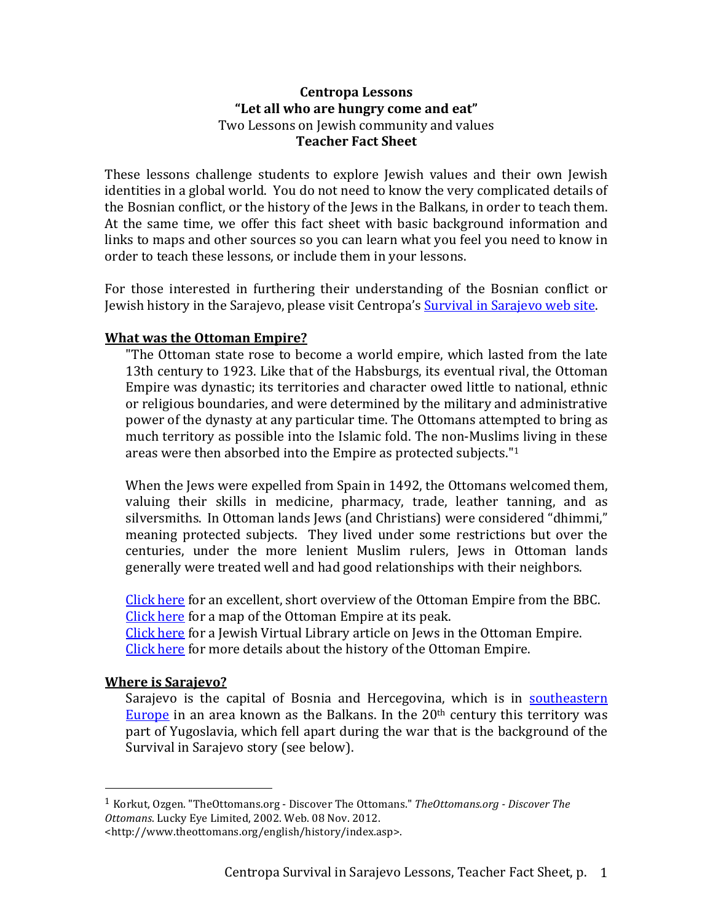## **Centropa Lessons** "Let all who are hungry come and eat" Two Lessons on Jewish community and values **Teacher Fact Sheet**

These lessons challenge students to explore Jewish values and their own Jewish identities in a global world. You do not need to know the very complicated details of the Bosnian conflict, or the history of the Jews in the Balkans, in order to teach them. At the same time, we offer this fact sheet with basic background information and links to maps and other sources so you can learn what you feel you need to know in order to teach these lessons, or include them in your lessons.

For those interested in furthering their understanding of the Bosnian conflict or Jewish history in the Sarajevo, please visit Centropa's Survival in Sarajevo web site.

# **What was the Ottoman Empire?**

"The Ottoman state rose to become a world empire, which lasted from the late 13th century to 1923. Like that of the Habsburgs, its eventual rival, the Ottoman Empire was dynastic; its territories and character owed little to national, ethnic or religious boundaries, and were determined by the military and administrative power of the dynasty at any particular time. The Ottomans attempted to bring as much territory as possible into the Islamic fold. The non-Muslims living in these areas were then absorbed into the Empire as protected subjects." $1$ 

When the Jews were expelled from Spain in 1492, the Ottomans welcomed them, valuing their skills in medicine, pharmacy, trade, leather tanning, and as silversmiths. In Ottoman lands Jews (and Christians) were considered "dhimmi," meaning protected subjects. They lived under some restrictions but over the centuries, under the more lenient Muslim rulers, Jews in Ottoman lands generally were treated well and had good relationships with their neighbors.

Click here for an excellent, short overview of the Ottoman Empire from the BBC. Click here for a map of the Ottoman Empire at its peak.

Click here for a Jewish Virtual Library article on Jews in the Ottoman Empire. Click here for more details about the history of the Ottoman Empire.

# **Where is Sarajevo?**

 

Sarajevo is the capital of Bosnia and Hercegovina, which is in southeastern Europe in an area known as the Balkans. In the  $20<sup>th</sup>$  century this territory was part of Yugoslavia, which fell apart during the war that is the background of the Survival in Sarajevo story (see below).

 $1$  Korkut, Ozgen. "TheOttomans.org - Discover The Ottomans." *TheOttomans.org - Discover The Ottomans*. Lucky Eye Limited, 2002. Web. 08 Nov. 2012.

<sup>&</sup>lt;http://www.theottomans.org/english/history/index.asp>.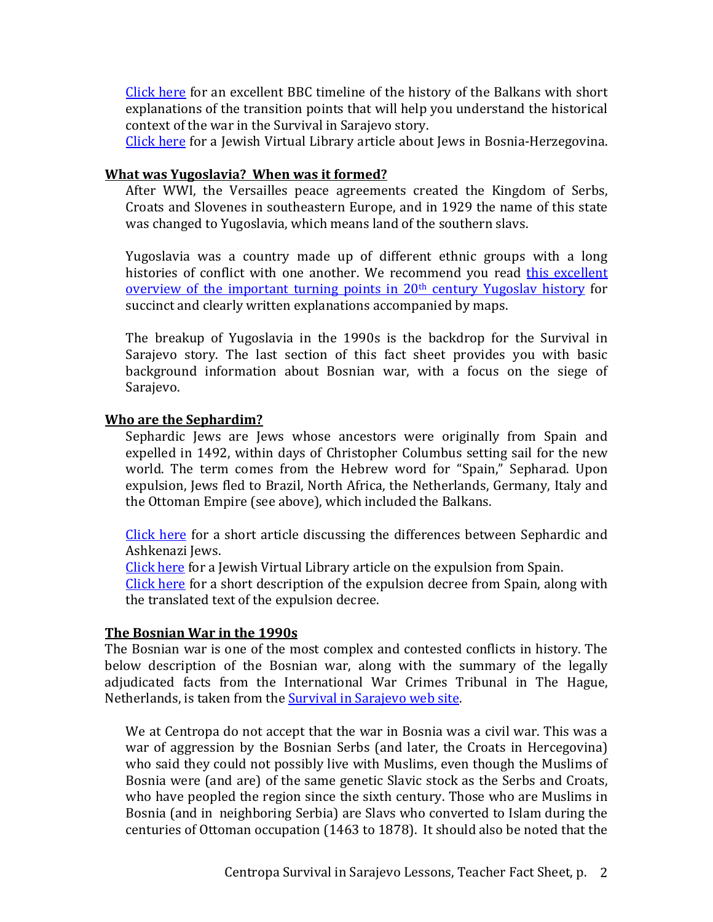Click here for an excellent BBC timeline of the history of the Balkans with short explanations of the transition points that will help you understand the historical context of the war in the Survival in Sarajevo story.

Click here for a Jewish Virtual Library article about Jews in Bosnia-Herzegovina.

# **What was Yugoslavia? When was it formed?**

After WWI, the Versailles peace agreements created the Kingdom of Serbs, Croats and Slovenes in southeastern Europe, and in 1929 the name of this state was changed to Yugoslavia, which means land of the southern slavs.

Yugoslavia was a country made up of different ethnic groups with a long histories of conflict with one another. We recommend you read this excellent overview of the important turning points in  $20<sup>th</sup>$  century Yugoslav history for succinct and clearly written explanations accompanied by maps.

The breakup of Yugoslavia in the 1990s is the backdrop for the Survival in Sarajevo story. The last section of this fact sheet provides you with basic background information about Bosnian war, with a focus on the siege of Sarajevo.

# **Who are the Sephardim?**

Sephardic Jews are Jews whose ancestors were originally from Spain and expelled in 1492, within days of Christopher Columbus setting sail for the new world. The term comes from the Hebrew word for "Spain," Sepharad. Upon expulsion, Jews fled to Brazil, North Africa, the Netherlands, Germany, Italy and the Ottoman Empire (see above), which included the Balkans.

Click here for a short article discussing the differences between Sephardic and Ashkenazi Iews.

Click here for a Jewish Virtual Library article on the expulsion from Spain.

Click here for a short description of the expulsion decree from Spain, along with the translated text of the expulsion decree.

# **The Bosnian War in the 1990s**

The Bosnian war is one of the most complex and contested conflicts in history. The below description of the Bosnian war, along with the summary of the legally adjudicated facts from the International War Crimes Tribunal in The Hague, Netherlands, is taken from the Survival in Sarajevo web site.

We at Centropa do not accept that the war in Bosnia was a civil war. This was a war of aggression by the Bosnian Serbs (and later, the Croats in Hercegovina) who said they could not possibly live with Muslims, even though the Muslims of Bosnia were (and are) of the same genetic Slavic stock as the Serbs and Croats, who have peopled the region since the sixth century. Those who are Muslims in Bosnia (and in neighboring Serbia) are Slavs who converted to Islam during the centuries of Ottoman occupation (1463 to 1878). It should also be noted that the